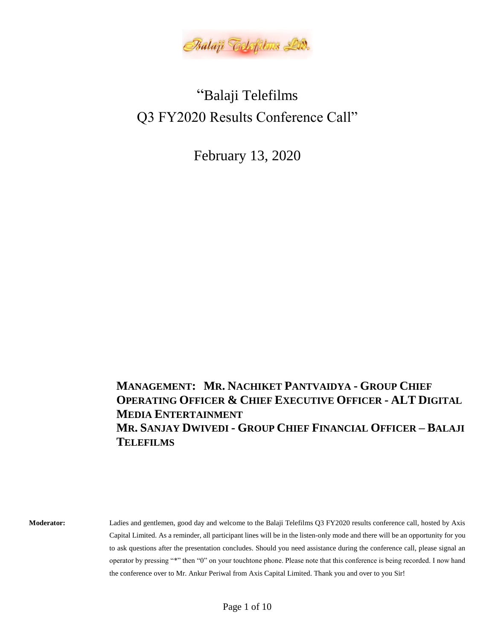

# "Balaji Telefilms Q3 FY2020 Results Conference Call"

February 13, 2020

**MANAGEMENT: MR. NACHIKET PANTVAIDYA - GROUP CHIEF OPERATING OFFICER & CHIEF EXECUTIVE OFFICER - ALT DIGITAL MEDIA ENTERTAINMENT MR. SANJAY DWIVEDI - GROUP CHIEF FINANCIAL OFFICER – BALAJI TELEFILMS**

**Moderator:** Ladies and gentlemen, good day and welcome to the Balaji Telefilms Q3 FY2020 results conference call, hosted by Axis Capital Limited. As a reminder, all participant lines will be in the listen-only mode and there will be an opportunity for you to ask questions after the presentation concludes. Should you need assistance during the conference call, please signal an operator by pressing "\*" then "0" on your touchtone phone. Please note that this conference is being recorded. I now hand the conference over to Mr. Ankur Periwal from Axis Capital Limited. Thank you and over to you Sir!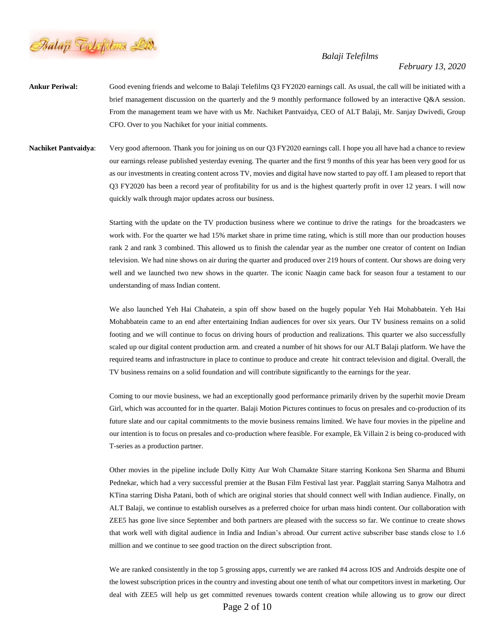

### *February 13, 2020*

- **Ankur Periwal:** Good evening friends and welcome to Balaji Telefilms Q3 FY2020 earnings call. As usual, the call will be initiated with a brief management discussion on the quarterly and the 9 monthly performance followed by an interactive Q&A session. From the management team we have with us Mr. Nachiket Pantvaidya, CEO of ALT Balaji, Mr. Sanjay Dwivedi, Group CFO. Over to you Nachiket for your initial comments.
- **Nachiket Pantvaidya:** Very good afternoon. Thank you for joining us on our Q3 FY2020 earnings call. I hope you all have had a chance to review our earnings release published yesterday evening. The quarter and the first 9 months of this year has been very good for us as our investments in creating content across TV, movies and digital have now started to pay off. I am pleased to report that Q3 FY2020 has been a record year of profitability for us and is the highest quarterly profit in over 12 years. I will now quickly walk through major updates across our business.

Starting with the update on the TV production business where we continue to drive the ratings for the broadcasters we work with. For the quarter we had 15% market share in prime time rating, which is still more than our production houses rank 2 and rank 3 combined. This allowed us to finish the calendar year as the number one creator of content on Indian television. We had nine shows on air during the quarter and produced over 219 hours of content. Our shows are doing very well and we launched two new shows in the quarter. The iconic Naagin came back for season four a testament to our understanding of mass Indian content.

We also launched Yeh Hai Chahatein, a spin off show based on the hugely popular Yeh Hai Mohabbatein. Yeh Hai Mohabbatein came to an end after entertaining Indian audiences for over six years. Our TV business remains on a solid footing and we will continue to focus on driving hours of production and realizations. This quarter we also successfully scaled up our digital content production arm. and created a number of hit shows for our ALT Balaji platform. We have the required teams and infrastructure in place to continue to produce and create hit contract television and digital. Overall, the TV business remains on a solid foundation and will contribute significantly to the earnings for the year.

Coming to our movie business, we had an exceptionally good performance primarily driven by the superhit movie Dream Girl, which was accounted for in the quarter. Balaji Motion Pictures continues to focus on presales and co-production of its future slate and our capital commitments to the movie business remains limited. We have four movies in the pipeline and our intention is to focus on presales and co-production where feasible. For example, Ek Villain 2 is being co-produced with T-series as a production partner.

Other movies in the pipeline include Dolly Kitty Aur Woh Chamakte Sitare starring Konkona Sen Sharma and Bhumi Pednekar, which had a very successful premier at the Busan Film Festival last year. Pagglait starring Sanya Malhotra and KTina starring Disha Patani, both of which are original stories that should connect well with Indian audience. Finally, on ALT Balaji, we continue to establish ourselves as a preferred choice for urban mass hindi content. Our collaboration with ZEE5 has gone live since September and both partners are pleased with the success so far. We continue to create shows that work well with digital audience in India and Indian's abroad. Our current active subscriber base stands close to 1.6 million and we continue to see good traction on the direct subscription front.

We are ranked consistently in the top 5 grossing apps, currently we are ranked #4 across IOS and Androids despite one of the lowest subscription prices in the country and investing about one tenth of what our competitors invest in marketing. Our deal with ZEE5 will help us get committed revenues towards content creation while allowing us to grow our direct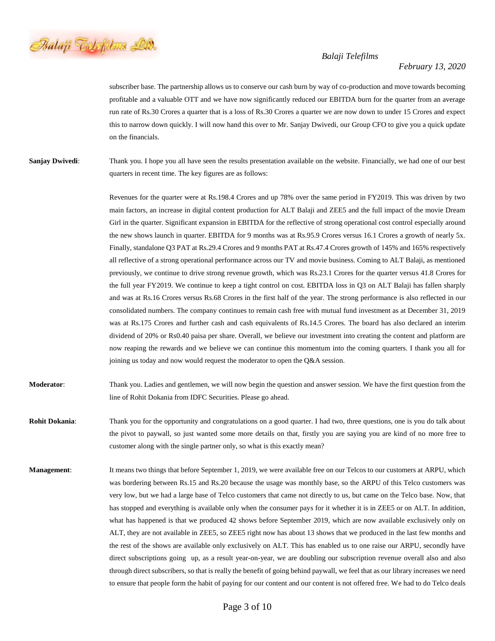

## *February 13, 2020*

subscriber base. The partnership allows us to conserve our cash burn by way of co-production and move towards becoming profitable and a valuable OTT and we have now significantly reduced our EBITDA burn for the quarter from an average run rate of Rs.30 Crores a quarter that is a loss of Rs.30 Crores a quarter we are now down to under 15 Crores and expect this to narrow down quickly. I will now hand this over to Mr. Sanjay Dwivedi, our Group CFO to give you a quick update on the financials.

**Sanjay Dwivedi:** Thank you. I hope you all have seen the results presentation available on the website. Financially, we had one of our best quarters in recent time. The key figures are as follows:

> Revenues for the quarter were at Rs.198.4 Crores and up 78% over the same period in FY2019. This was driven by two main factors, an increase in digital content production for ALT Balaji and ZEE5 and the full impact of the movie Dream Girl in the quarter. Significant expansion in EBITDA for the reflective of strong operational cost control especially around the new shows launch in quarter. EBITDA for 9 months was at Rs.95.9 Crores versus 16.1 Crores a growth of nearly 5x. Finally, standalone Q3 PAT at Rs.29.4 Crores and 9 months PAT at Rs.47.4 Crores growth of 145% and 165% respectively all reflective of a strong operational performance across our TV and movie business. Coming to ALT Balaji, as mentioned previously, we continue to drive strong revenue growth, which was Rs.23.1 Crores for the quarter versus 41.8 Crores for the full year FY2019. We continue to keep a tight control on cost. EBITDA loss in Q3 on ALT Balaji has fallen sharply and was at Rs.16 Crores versus Rs.68 Crores in the first half of the year. The strong performance is also reflected in our consolidated numbers. The company continues to remain cash free with mutual fund investment as at December 31, 2019 was at Rs.175 Crores and further cash and cash equivalents of Rs.14.5 Crores. The board has also declared an interim dividend of 20% or Rs0.40 paisa per share. Overall, we believe our investment into creating the content and platform are now reaping the rewards and we believe we can continue this momentum into the coming quarters. I thank you all for joining us today and now would request the moderator to open the Q&A session.

# **Moderator**: Thank you. Ladies and gentlemen, we will now begin the question and answer session. We have the first question from the line of Rohit Dokania from IDFC Securities. Please go ahead.

**Rohit Dokania:** Thank you for the opportunity and congratulations on a good quarter. I had two, three questions, one is you do talk about the pivot to paywall, so just wanted some more details on that, firstly you are saying you are kind of no more free to customer along with the single partner only, so what is this exactly mean?

**Management:** It means two things that before September 1, 2019, we were available free on our Telcos to our customers at ARPU, which was bordering between Rs.15 and Rs.20 because the usage was monthly base, so the ARPU of this Telco customers was very low, but we had a large base of Telco customers that came not directly to us, but came on the Telco base. Now, that has stopped and everything is available only when the consumer pays for it whether it is in ZEE5 or on ALT. In addition, what has happened is that we produced 42 shows before September 2019, which are now available exclusively only on ALT, they are not available in ZEE5, so ZEE5 right now has about 13 shows that we produced in the last few months and the rest of the shows are available only exclusively on ALT. This has enabled us to one raise our ARPU, secondly have direct subscriptions going up, as a result year-on-year, we are doubling our subscription revenue overall also and also through direct subscribers, so that is really the benefit of going behind paywall, we feel that as our library increases we need to ensure that people form the habit of paying for our content and our content is not offered free. We had to do Telco deals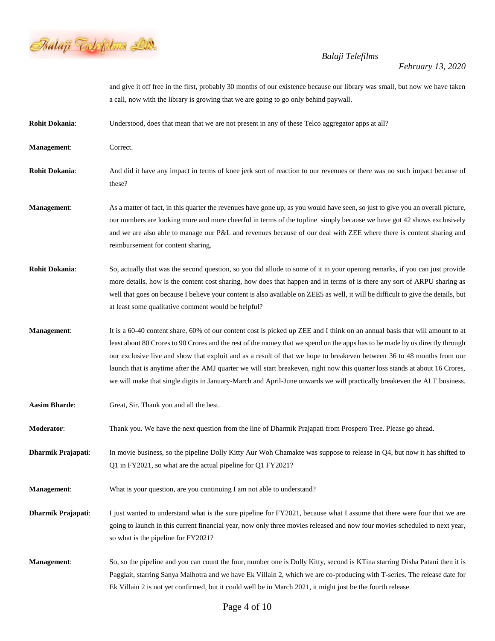

|                       | and give it off free in the first, probably 30 months of our existence because our library was small, but now we have taken<br>a call, now with the library is growing that we are going to go only behind paywall.                                                                                                                                                                                                                                                                                                                                                                                                                              |
|-----------------------|--------------------------------------------------------------------------------------------------------------------------------------------------------------------------------------------------------------------------------------------------------------------------------------------------------------------------------------------------------------------------------------------------------------------------------------------------------------------------------------------------------------------------------------------------------------------------------------------------------------------------------------------------|
| <b>Rohit Dokania:</b> | Understood, does that mean that we are not present in any of these Telco aggregator apps at all?                                                                                                                                                                                                                                                                                                                                                                                                                                                                                                                                                 |
| Management:           | Correct.                                                                                                                                                                                                                                                                                                                                                                                                                                                                                                                                                                                                                                         |
| <b>Rohit Dokania:</b> | And did it have any impact in terms of knee jerk sort of reaction to our revenues or there was no such impact because of<br>these?                                                                                                                                                                                                                                                                                                                                                                                                                                                                                                               |
| Management:           | As a matter of fact, in this quarter the revenues have gone up, as you would have seen, so just to give you an overall picture,<br>our numbers are looking more and more cheerful in terms of the topline simply because we have got 42 shows exclusively<br>and we are also able to manage our P&L and revenues because of our deal with ZEE where there is content sharing and<br>reimbursement for content sharing.                                                                                                                                                                                                                           |
| <b>Rohit Dokania:</b> | So, actually that was the second question, so you did allude to some of it in your opening remarks, if you can just provide<br>more details, how is the content cost sharing, how does that happen and in terms of is there any sort of ARPU sharing as<br>well that goes on because I believe your content is also available on ZEE5 as well, it will be difficult to give the details, but<br>at least some qualitative comment would be helpful?                                                                                                                                                                                              |
| Management:           | It is a 60-40 content share, 60% of our content cost is picked up ZEE and I think on an annual basis that will amount to at<br>least about 80 Crores to 90 Crores and the rest of the money that we spend on the apps has to be made by us directly through<br>our exclusive live and show that exploit and as a result of that we hope to breakeven between 36 to 48 months from our<br>launch that is anytime after the AMJ quarter we will start breakeven, right now this quarter loss stands at about 16 Crores,<br>we will make that single digits in January-March and April-June onwards we will practically breakeven the ALT business. |
| <b>Aasim Bharde:</b>  | Great, Sir. Thank you and all the best.                                                                                                                                                                                                                                                                                                                                                                                                                                                                                                                                                                                                          |
| <b>Moderator:</b>     | Thank you. We have the next question from the line of Dharmik Prajapati from Prospero Tree. Please go ahead.                                                                                                                                                                                                                                                                                                                                                                                                                                                                                                                                     |
| Dharmik Prajapati:    | In movie business, so the pipeline Dolly Kitty Aur Woh Chamakte was suppose to release in Q4, but now it has shifted to<br>Q1 in FY2021, so what are the actual pipeline for Q1 FY2021?                                                                                                                                                                                                                                                                                                                                                                                                                                                          |
| Management:           | What is your question, are you continuing I am not able to understand?                                                                                                                                                                                                                                                                                                                                                                                                                                                                                                                                                                           |
| Dharmik Prajapati:    | I just wanted to understand what is the sure pipeline for FY2021, because what I assume that there were four that we are<br>going to launch in this current financial year, now only three movies released and now four movies scheduled to next year,<br>so what is the pipeline for FY2021?                                                                                                                                                                                                                                                                                                                                                    |
| <b>Management:</b>    | So, so the pipeline and you can count the four, number one is Dolly Kitty, second is KTina starring Disha Patani then it is<br>Pagglait, starring Sanya Malhotra and we have Ek Villain 2, which we are co-producing with T-series. The release date for<br>Ek Villain 2 is not yet confirmed, but it could well be in March 2021, it might just be the fourth release.                                                                                                                                                                                                                                                                          |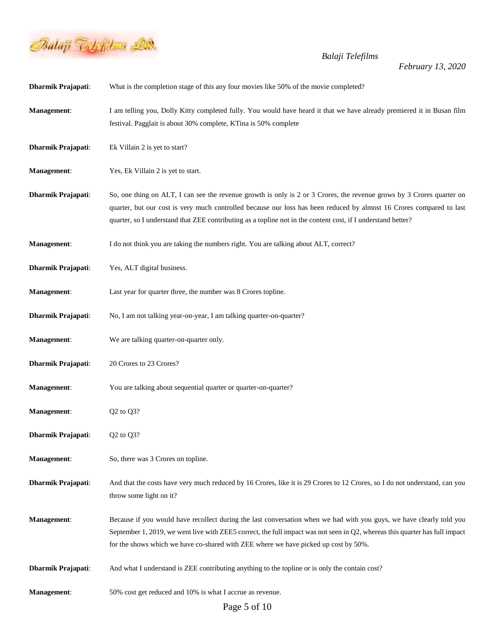

| Dharmik Prajapati:        | What is the completion stage of this any four movies like 50% of the movie completed?                                                                                                                                                                                                                                                                         |
|---------------------------|---------------------------------------------------------------------------------------------------------------------------------------------------------------------------------------------------------------------------------------------------------------------------------------------------------------------------------------------------------------|
| Management:               | I am telling you, Dolly Kitty completed fully. You would have heard it that we have already premiered it in Busan film<br>festival. Pagglait is about 30% complete, KTina is 50% complete                                                                                                                                                                     |
| Dharmik Prajapati:        | Ek Villain 2 is yet to start?                                                                                                                                                                                                                                                                                                                                 |
| <b>Management:</b>        | Yes, Ek Villain 2 is yet to start.                                                                                                                                                                                                                                                                                                                            |
| Dharmik Prajapati:        | So, one thing on ALT, I can see the revenue growth is only is 2 or 3 Crores, the revenue grows by 3 Crores quarter on<br>quarter, but our cost is very much controlled because our loss has been reduced by almost 16 Crores compared to last<br>quarter, so I understand that ZEE contributing as a topline not in the content cost, if I understand better? |
| Management:               | I do not think you are taking the numbers right. You are talking about ALT, correct?                                                                                                                                                                                                                                                                          |
| <b>Dharmik Prajapati:</b> | Yes, ALT digital business.                                                                                                                                                                                                                                                                                                                                    |
| Management:               | Last year for quarter three, the number was 8 Crores topline.                                                                                                                                                                                                                                                                                                 |
| Dharmik Prajapati:        | No, I am not talking year-on-year, I am talking quarter-on-quarter?                                                                                                                                                                                                                                                                                           |
| <b>Management:</b>        | We are talking quarter-on-quarter only.                                                                                                                                                                                                                                                                                                                       |
| Dharmik Prajapati:        | 20 Crores to 23 Crores?                                                                                                                                                                                                                                                                                                                                       |
| Management:               | You are talking about sequential quarter or quarter-on-quarter?                                                                                                                                                                                                                                                                                               |
| Management:               | Q2 to Q3?                                                                                                                                                                                                                                                                                                                                                     |
| <b>Dharmik Prajapati:</b> | Q2 to Q3?                                                                                                                                                                                                                                                                                                                                                     |
| Management:               | So, there was 3 Crores on topline.                                                                                                                                                                                                                                                                                                                            |
| <b>Dharmik Prajapati:</b> | And that the costs have very much reduced by 16 Crores, like it is 29 Crores to 12 Crores, so I do not understand, can you<br>throw some light on it?                                                                                                                                                                                                         |
| Management:               | Because if you would have recollect during the last conversation when we had with you guys, we have clearly told you<br>September 1, 2019, we went live with ZEE5 correct, the full impact was not seen in Q2, whereas this quarter has full impact<br>for the shows which we have co-shared with ZEE where we have picked up cost by 50%.                    |
| Dharmik Prajapati:        | And what I understand is ZEE contributing anything to the topline or is only the contain cost?                                                                                                                                                                                                                                                                |
| Management:               | 50% cost get reduced and 10% is what I accrue as revenue.                                                                                                                                                                                                                                                                                                     |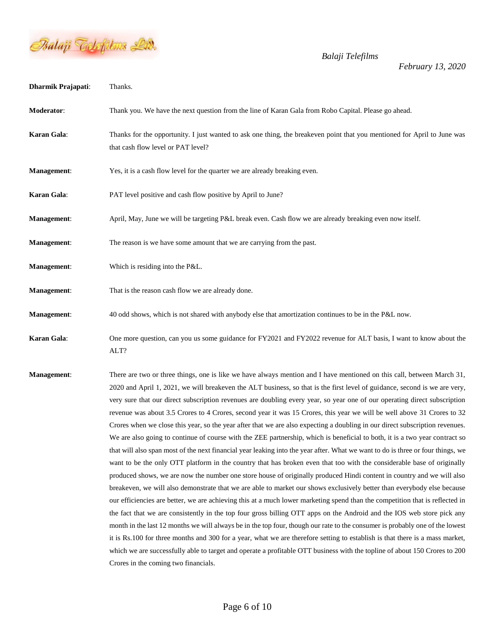

| Dharmik Prajapati: | Thanks.                                                                                                                                                                                                                                                                                                                                                                                                                                                                                                                                                                                                                                                                                                                                                                                                                                                                                                                                                                                                                                                                                                                                                                                                                                                                                                                                                                                                                                                                                                                                                                                                                                                                                                                                                                                                                                                                                                                                                                                       |
|--------------------|-----------------------------------------------------------------------------------------------------------------------------------------------------------------------------------------------------------------------------------------------------------------------------------------------------------------------------------------------------------------------------------------------------------------------------------------------------------------------------------------------------------------------------------------------------------------------------------------------------------------------------------------------------------------------------------------------------------------------------------------------------------------------------------------------------------------------------------------------------------------------------------------------------------------------------------------------------------------------------------------------------------------------------------------------------------------------------------------------------------------------------------------------------------------------------------------------------------------------------------------------------------------------------------------------------------------------------------------------------------------------------------------------------------------------------------------------------------------------------------------------------------------------------------------------------------------------------------------------------------------------------------------------------------------------------------------------------------------------------------------------------------------------------------------------------------------------------------------------------------------------------------------------------------------------------------------------------------------------------------------------|
| Moderator:         | Thank you. We have the next question from the line of Karan Gala from Robo Capital. Please go ahead.                                                                                                                                                                                                                                                                                                                                                                                                                                                                                                                                                                                                                                                                                                                                                                                                                                                                                                                                                                                                                                                                                                                                                                                                                                                                                                                                                                                                                                                                                                                                                                                                                                                                                                                                                                                                                                                                                          |
| Karan Gala:        | Thanks for the opportunity. I just wanted to ask one thing, the breakeven point that you mentioned for April to June was<br>that cash flow level or PAT level?                                                                                                                                                                                                                                                                                                                                                                                                                                                                                                                                                                                                                                                                                                                                                                                                                                                                                                                                                                                                                                                                                                                                                                                                                                                                                                                                                                                                                                                                                                                                                                                                                                                                                                                                                                                                                                |
| Management:        | Yes, it is a cash flow level for the quarter we are already breaking even.                                                                                                                                                                                                                                                                                                                                                                                                                                                                                                                                                                                                                                                                                                                                                                                                                                                                                                                                                                                                                                                                                                                                                                                                                                                                                                                                                                                                                                                                                                                                                                                                                                                                                                                                                                                                                                                                                                                    |
| Karan Gala:        | PAT level positive and cash flow positive by April to June?                                                                                                                                                                                                                                                                                                                                                                                                                                                                                                                                                                                                                                                                                                                                                                                                                                                                                                                                                                                                                                                                                                                                                                                                                                                                                                                                                                                                                                                                                                                                                                                                                                                                                                                                                                                                                                                                                                                                   |
| Management:        | April, May, June we will be targeting P&L break even. Cash flow we are already breaking even now itself.                                                                                                                                                                                                                                                                                                                                                                                                                                                                                                                                                                                                                                                                                                                                                                                                                                                                                                                                                                                                                                                                                                                                                                                                                                                                                                                                                                                                                                                                                                                                                                                                                                                                                                                                                                                                                                                                                      |
| Management:        | The reason is we have some amount that we are carrying from the past.                                                                                                                                                                                                                                                                                                                                                                                                                                                                                                                                                                                                                                                                                                                                                                                                                                                                                                                                                                                                                                                                                                                                                                                                                                                                                                                                                                                                                                                                                                                                                                                                                                                                                                                                                                                                                                                                                                                         |
| <b>Management:</b> | Which is residing into the P&L.                                                                                                                                                                                                                                                                                                                                                                                                                                                                                                                                                                                                                                                                                                                                                                                                                                                                                                                                                                                                                                                                                                                                                                                                                                                                                                                                                                                                                                                                                                                                                                                                                                                                                                                                                                                                                                                                                                                                                               |
| Management:        | That is the reason cash flow we are already done.                                                                                                                                                                                                                                                                                                                                                                                                                                                                                                                                                                                                                                                                                                                                                                                                                                                                                                                                                                                                                                                                                                                                                                                                                                                                                                                                                                                                                                                                                                                                                                                                                                                                                                                                                                                                                                                                                                                                             |
| <b>Management:</b> | 40 odd shows, which is not shared with anybody else that amortization continues to be in the P&L now.                                                                                                                                                                                                                                                                                                                                                                                                                                                                                                                                                                                                                                                                                                                                                                                                                                                                                                                                                                                                                                                                                                                                                                                                                                                                                                                                                                                                                                                                                                                                                                                                                                                                                                                                                                                                                                                                                         |
| Karan Gala:        | One more question, can you us some guidance for FY2021 and FY2022 revenue for ALT basis, I want to know about the<br>ALT?                                                                                                                                                                                                                                                                                                                                                                                                                                                                                                                                                                                                                                                                                                                                                                                                                                                                                                                                                                                                                                                                                                                                                                                                                                                                                                                                                                                                                                                                                                                                                                                                                                                                                                                                                                                                                                                                     |
| Management:        | There are two or three things, one is like we have always mention and I have mentioned on this call, between March 31,<br>2020 and April 1, 2021, we will breakeven the ALT business, so that is the first level of guidance, second is we are very,<br>very sure that our direct subscription revenues are doubling every year, so year one of our operating direct subscription<br>revenue was about 3.5 Crores to 4 Crores, second year it was 15 Crores, this year we will be well above 31 Crores to 32<br>Crores when we close this year, so the year after that we are also expecting a doubling in our direct subscription revenues.<br>We are also going to continue of course with the ZEE partnership, which is beneficial to both, it is a two year contract so<br>that will also span most of the next financial year leaking into the year after. What we want to do is three or four things, we<br>want to be the only OTT platform in the country that has broken even that too with the considerable base of originally<br>produced shows, we are now the number one store house of originally produced Hindi content in country and we will also<br>breakeven, we will also demonstrate that we are able to market our shows exclusively better than everybody else because<br>our efficiencies are better, we are achieving this at a much lower marketing spend than the competition that is reflected in<br>the fact that we are consistently in the top four gross billing OTT apps on the Android and the IOS web store pick any<br>month in the last 12 months we will always be in the top four, though our rate to the consumer is probably one of the lowest<br>it is Rs.100 for three months and 300 for a year, what we are therefore setting to establish is that there is a mass market,<br>which we are successfully able to target and operate a profitable OTT business with the topline of about 150 Crores to 200<br>Crores in the coming two financials. |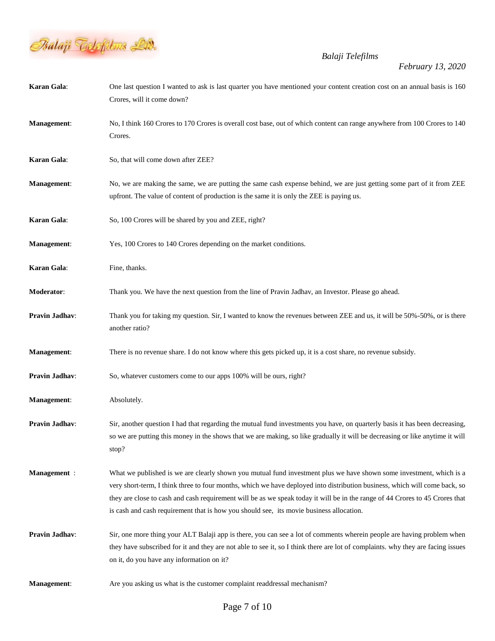

| Karan Gala:         | One last question I wanted to ask is last quarter you have mentioned your content creation cost on an annual basis is 160<br>Crores, will it come down?                                                                                                                                                                                                                                                                                                                      |
|---------------------|------------------------------------------------------------------------------------------------------------------------------------------------------------------------------------------------------------------------------------------------------------------------------------------------------------------------------------------------------------------------------------------------------------------------------------------------------------------------------|
| Management:         | No, I think 160 Crores to 170 Crores is overall cost base, out of which content can range anywhere from 100 Crores to 140<br>Crores.                                                                                                                                                                                                                                                                                                                                         |
| Karan Gala:         | So, that will come down after ZEE?                                                                                                                                                                                                                                                                                                                                                                                                                                           |
| Management:         | No, we are making the same, we are putting the same cash expense behind, we are just getting some part of it from ZEE<br>upfront. The value of content of production is the same it is only the ZEE is paying us.                                                                                                                                                                                                                                                            |
| Karan Gala:         | So, 100 Crores will be shared by you and ZEE, right?                                                                                                                                                                                                                                                                                                                                                                                                                         |
| Management:         | Yes, 100 Crores to 140 Crores depending on the market conditions.                                                                                                                                                                                                                                                                                                                                                                                                            |
| Karan Gala:         | Fine, thanks.                                                                                                                                                                                                                                                                                                                                                                                                                                                                |
| Moderator:          | Thank you. We have the next question from the line of Pravin Jadhav, an Investor. Please go ahead.                                                                                                                                                                                                                                                                                                                                                                           |
| Pravin Jadhav:      | Thank you for taking my question. Sir, I wanted to know the revenues between ZEE and us, it will be 50%-50%, or is there<br>another ratio?                                                                                                                                                                                                                                                                                                                                   |
| Management:         | There is no revenue share. I do not know where this gets picked up, it is a cost share, no revenue subsidy.                                                                                                                                                                                                                                                                                                                                                                  |
| Pravin Jadhav:      | So, whatever customers come to our apps 100% will be ours, right?                                                                                                                                                                                                                                                                                                                                                                                                            |
| Management:         | Absolutely.                                                                                                                                                                                                                                                                                                                                                                                                                                                                  |
| Pravin Jadhav:      | Sir, another question I had that regarding the mutual fund investments you have, on quarterly basis it has been decreasing,<br>so we are putting this money in the shows that we are making, so like gradually it will be decreasing or like anytime it will<br>stop?                                                                                                                                                                                                        |
| <b>Management</b> : | What we published is we are clearly shown you mutual fund investment plus we have shown some investment, which is a<br>very short-term, I think three to four months, which we have deployed into distribution business, which will come back, so<br>they are close to cash and cash requirement will be as we speak today it will be in the range of 44 Crores to 45 Crores that<br>is cash and cash requirement that is how you should see, its movie business allocation. |
| Pravin Jadhav:      | Sir, one more thing your ALT Balaji app is there, you can see a lot of comments wherein people are having problem when<br>they have subscribed for it and they are not able to see it, so I think there are lot of complaints. why they are facing issues<br>on it, do you have any information on it?                                                                                                                                                                       |
| Management:         | Are you asking us what is the customer complaint readdressal mechanism?                                                                                                                                                                                                                                                                                                                                                                                                      |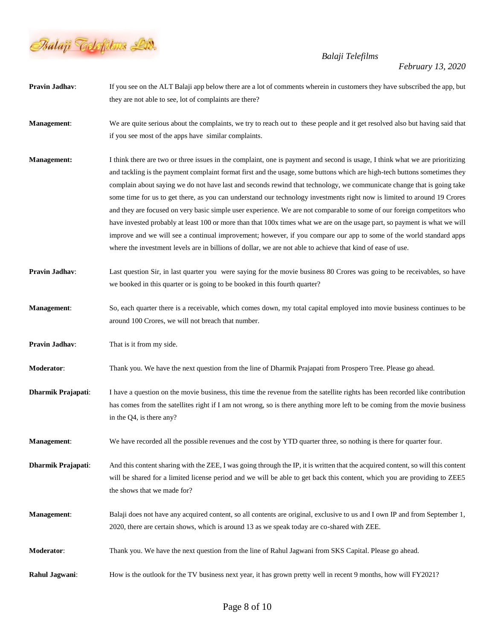

*February 13, 2020*

**Pravin Jadhav**: If you see on the ALT Balaji app below there are a lot of comments wherein in customers they have subscribed the app, but they are not able to see, lot of complaints are there? **Management**: We are quite serious about the complaints, we try to reach out to these people and it get resolved also but having said that if you see most of the apps have similar complaints. **Management:** I think there are two or three issues in the complaint, one is payment and second is usage, I think what we are prioritizing and tackling is the payment complaint format first and the usage, some buttons which are high-tech buttons sometimes they complain about saying we do not have last and seconds rewind that technology, we communicate change that is going take some time for us to get there, as you can understand our technology investments right now is limited to around 19 Crores and they are focused on very basic simple user experience. We are not comparable to some of our foreign competitors who have invested probably at least 100 or more than that 100x times what we are on the usage part, so payment is what we will improve and we will see a continual improvement; however, if you compare our app to some of the world standard apps where the investment levels are in billions of dollar, we are not able to achieve that kind of ease of use. **Pravin Jadhav:** Last question Sir, in last quarter you were saying for the movie business 80 Crores was going to be receivables, so have we booked in this quarter or is going to be booked in this fourth quarter? **Management**: So, each quarter there is a receivable, which comes down, my total capital employed into movie business continues to be around 100 Crores, we will not breach that number. **Pravin Jadhav:** That is it from my side. **Moderator**: Thank you. We have the next question from the line of Dharmik Prajapati from Prospero Tree. Please go ahead. **Dharmik Prajapati:** I have a question on the movie business, this time the revenue from the satellite rights has been recorded like contribution has comes from the satellites right if I am not wrong, so is there anything more left to be coming from the movie business in the Q4, is there any? **Management**: We have recorded all the possible revenues and the cost by YTD quarter three, so nothing is there for quarter four. **Dharmik Prajapati**: And this content sharing with the ZEE, I was going through the IP, it is written that the acquired content, so will this content will be shared for a limited license period and we will be able to get back this content, which you are providing to ZEE5 the shows that we made for? **Management**: Balaji does not have any acquired content, so all contents are original, exclusive to us and I own IP and from September 1, 2020, there are certain shows, which is around 13 as we speak today are co-shared with ZEE. **Moderator**: Thank you. We have the next question from the line of Rahul Jagwani from SKS Capital. Please go ahead. **Rahul Jagwani:** How is the outlook for the TV business next year, it has grown pretty well in recent 9 months, how will FY2021?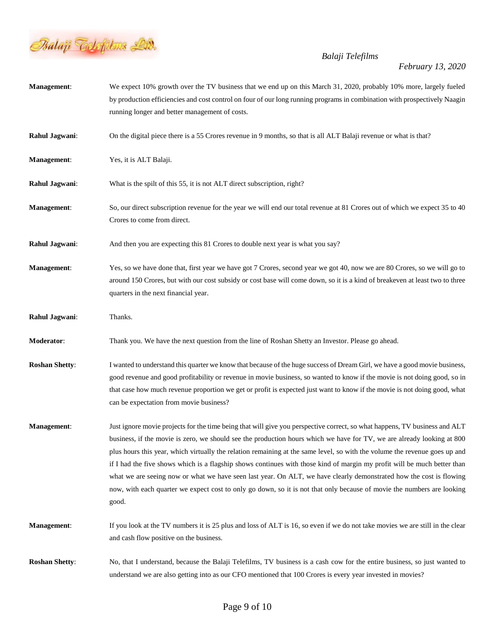

| <b>Management:</b>    | We expect 10% growth over the TV business that we end up on this March 31, 2020, probably 10% more, largely fueled<br>by production efficiencies and cost control on four of our long running programs in combination with prospectively Naagin<br>running longer and better management of costs.                                                                                                                                                                                                                                                                                                                                                                                                                                                                        |
|-----------------------|--------------------------------------------------------------------------------------------------------------------------------------------------------------------------------------------------------------------------------------------------------------------------------------------------------------------------------------------------------------------------------------------------------------------------------------------------------------------------------------------------------------------------------------------------------------------------------------------------------------------------------------------------------------------------------------------------------------------------------------------------------------------------|
| Rahul Jagwani:        | On the digital piece there is a 55 Crores revenue in 9 months, so that is all ALT Balaji revenue or what is that?                                                                                                                                                                                                                                                                                                                                                                                                                                                                                                                                                                                                                                                        |
| Management:           | Yes, it is ALT Balaji.                                                                                                                                                                                                                                                                                                                                                                                                                                                                                                                                                                                                                                                                                                                                                   |
| Rahul Jagwani:        | What is the spilt of this 55, it is not ALT direct subscription, right?                                                                                                                                                                                                                                                                                                                                                                                                                                                                                                                                                                                                                                                                                                  |
| Management:           | So, our direct subscription revenue for the year we will end our total revenue at 81 Crores out of which we expect 35 to 40<br>Crores to come from direct.                                                                                                                                                                                                                                                                                                                                                                                                                                                                                                                                                                                                               |
| Rahul Jagwani:        | And then you are expecting this 81 Crores to double next year is what you say?                                                                                                                                                                                                                                                                                                                                                                                                                                                                                                                                                                                                                                                                                           |
| Management:           | Yes, so we have done that, first year we have got 7 Crores, second year we got 40, now we are 80 Crores, so we will go to<br>around 150 Crores, but with our cost subsidy or cost base will come down, so it is a kind of breakeven at least two to three<br>quarters in the next financial year.                                                                                                                                                                                                                                                                                                                                                                                                                                                                        |
| Rahul Jagwani:        | Thanks.                                                                                                                                                                                                                                                                                                                                                                                                                                                                                                                                                                                                                                                                                                                                                                  |
| Moderator:            | Thank you. We have the next question from the line of Roshan Shetty an Investor. Please go ahead.                                                                                                                                                                                                                                                                                                                                                                                                                                                                                                                                                                                                                                                                        |
| <b>Roshan Shetty:</b> | I wanted to understand this quarter we know that because of the huge success of Dream Girl, we have a good movie business,<br>good revenue and good profitability or revenue in movie business, so wanted to know if the movie is not doing good, so in<br>that case how much revenue proportion we get or profit is expected just want to know if the movie is not doing good, what<br>can be expectation from movie business?                                                                                                                                                                                                                                                                                                                                          |
| Management:           | Just ignore movie projects for the time being that will give you perspective correct, so what happens, TV business and ALT<br>business, if the movie is zero, we should see the production hours which we have for TV, we are already looking at 800<br>plus hours this year, which virtually the relation remaining at the same level, so with the volume the revenue goes up and<br>if I had the five shows which is a flagship shows continues with those kind of margin my profit will be much better than<br>what we are seeing now or what we have seen last year. On ALT, we have clearly demonstrated how the cost is flowing<br>now, with each quarter we expect cost to only go down, so it is not that only because of movie the numbers are looking<br>good. |
| Management:           | If you look at the TV numbers it is 25 plus and loss of ALT is 16, so even if we do not take movies we are still in the clear<br>and cash flow positive on the business.                                                                                                                                                                                                                                                                                                                                                                                                                                                                                                                                                                                                 |
| <b>Roshan Shetty:</b> | No, that I understand, because the Balaji Telefilms, TV business is a cash cow for the entire business, so just wanted to<br>understand we are also getting into as our CFO mentioned that 100 Crores is every year invested in movies?                                                                                                                                                                                                                                                                                                                                                                                                                                                                                                                                  |